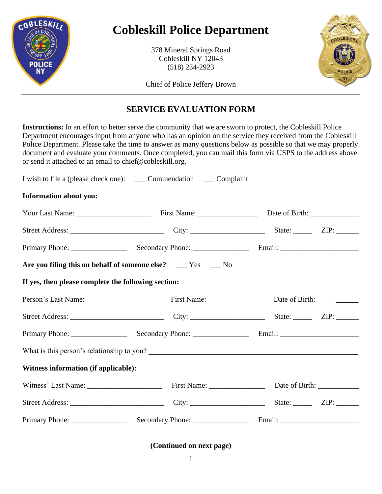

# **Cobleskill Police Department**

378 Mineral Springs Road Cobleskill NY 12043 (518) 234-2923



Chief of Police Jeffery Brown

# **SERVICE EVALUATION FORM**

**Instructions:** In an effort to better serve the community that we are sworn to protect, the Cobleskill Police Department encourages input from anyone who has an opinion on the service they received from the Cobleskill Police Department. Please take the time to answer as many questions below as possible so that we may properly document and evaluate your comments. Once completed, you can mail this form via USPS to the address above or send it attached to an email to chief@cobleskill.org.

| <b>Information about you:</b>                       |                                                                   |  |  |
|-----------------------------------------------------|-------------------------------------------------------------------|--|--|
|                                                     |                                                                   |  |  |
|                                                     |                                                                   |  |  |
|                                                     |                                                                   |  |  |
|                                                     | Are you filing this on behalf of someone else? _____ Yes _____ No |  |  |
| If yes, then please complete the following section: |                                                                   |  |  |
|                                                     | Person's Last Name: First Name: Date of Birth: 1991               |  |  |
|                                                     |                                                                   |  |  |
|                                                     |                                                                   |  |  |
|                                                     | What is this person's relationship to you?                        |  |  |
| Witness information (if applicable):                |                                                                   |  |  |
|                                                     |                                                                   |  |  |
|                                                     |                                                                   |  |  |
|                                                     |                                                                   |  |  |

**(Continued on next page)**